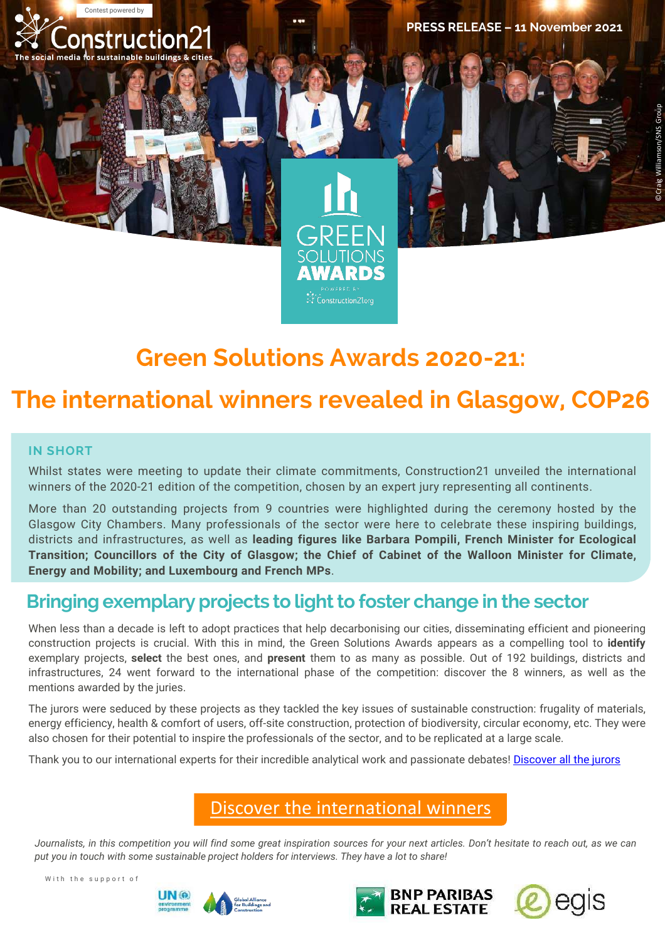

# **Green Solutions Awards 2020-21:**

Construction21.org

# **The international winners revealed in Glasgow, COP26**

#### **IN SHORT**

Whilst states were meeting to update their climate commitments, Construction21 unveiled the international winners of the 2020-21 edition of the competition, chosen by an expert jury representing all continents.

More than 20 outstanding projects from 9 countries were highlighted during the ceremony hosted by the Glasgow City Chambers. Many professionals of the sector were here to celebrate these inspiring buildings, districts and infrastructures, as well as **leading figures like Barbara Pompili, French Minister for Ecological Transition; Councillors of the City of Glasgow; the Chief of Cabinet of the Walloon Minister for Climate, Energy and Mobility; and Luxembourg and French MPs**.

#### **Bringing exemplary projects to light to foster change in the sector**

When less than a decade is left to adopt practices that help decarbonising our cities, disseminating efficient and pioneering construction projects is crucial. With this in mind, the Green Solutions Awards appears as a compelling tool to **identify** exemplary projects, **select** the best ones, and **present** them to as many as possible. Out of 192 buildings, districts and infrastructures, 24 went forward to the international phase of the competition: discover the 8 winners, as well as the mentions awarded by the juries.

The jurors were seduced by these projects as they tackled the key issues of sustainable construction: frugality of materials, energy efficiency, health & comfort of users, off-site construction, protection of biodiversity, circular economy, etc. They were also chosen for their potential to inspire the professionals of the sector, and to be replicated at a large scale.

Thank you to our international experts for their incredible analytical work and passionate debates! [Discover](https://www.greensolutionsawards.org/international-juries-2020-21/) all the jurors

#### [Discover the international winners](https://www.construction21.org/articles/h/green-solutions-awards-2020-21-who-are-the-international-winners.html)

Journalists, in this competition you will find some great inspiration sources for your next articles. Don't hesitate to reach out, as we can *put you in touch with some sustainable project holders for interviews. They have a lot to share!*

With the support of





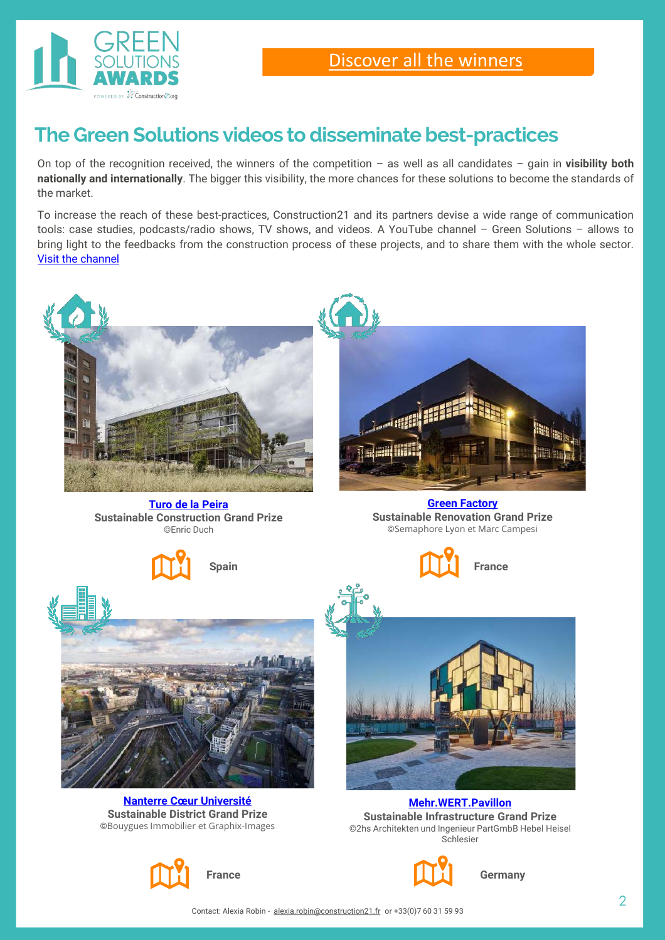

## **The Green Solutions videos to disseminate best-practices**

On top of the recognition received, the winners of the competition – as well as all candidates – gain in **visibility both nationally and internationally**. The bigger this visibility, the more chances for these solutions to become the standards of the market.

To increase the reach of these best-practices, Construction21 and its partners devise a wide range of communication tools: case studies, podcasts/radio shows, TV shows, and videos. A YouTube channel – Green Solutions – allows to bring light to the feedbacks from the construction process of these projects, and to share them with the whole sector. Visit the [channel](https://www.youtube.com/channel/UC3zmYk47PEKJ7JEQ39DXlIg)



**Sustainable District Grand Prize** ©Bouygues Immobilier et Graphix-Images

**Sustainable Infrastructure Grand Prize** ©2hs Architekten und Ingenieur PartGmbB Hebel Heisel Schlesier





**Germany**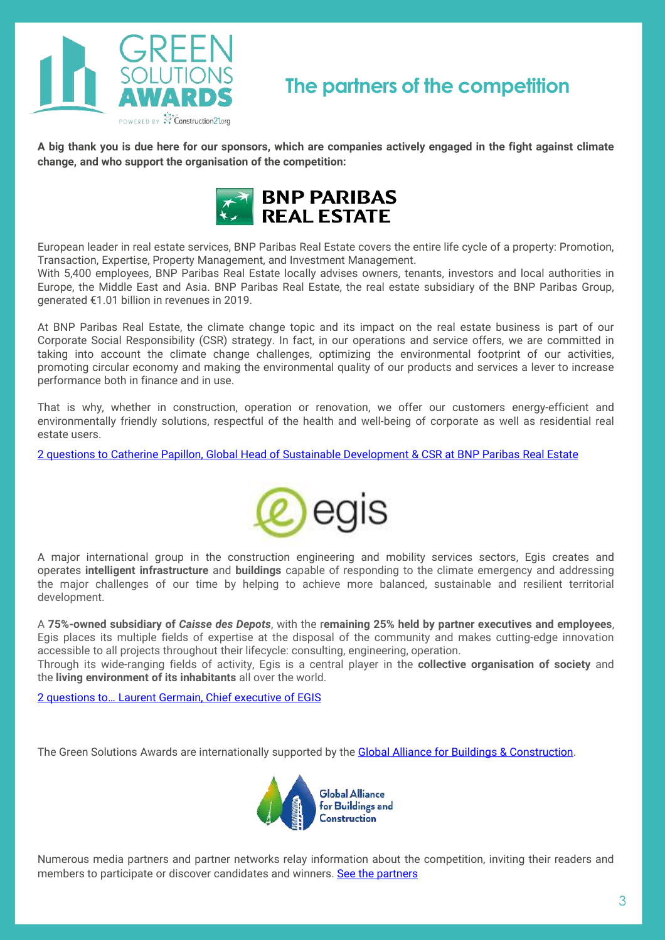

### **The partners of the competition**

A big thank you is due here for our sponsors, which are companies actively engaged in the fight against climate **change, and who support the organisation of the competition:**



European leader in real estate services, BNP Paribas Real Estate covers the entire life cycle of a property: Promotion, Transaction, Expertise, Property Management, and Investment Management.

With 5,400 employees, BNP Paribas Real Estate locally advises owners, tenants, investors and local authorities in Europe, the Middle East and Asia. BNP Paribas Real Estate, the real estate subsidiary of the BNP Paribas Group, generated €1.01 billion in revenues in 2019.

At BNP Paribas Real Estate, the climate change topic and its impact on the real estate business is part of our Corporate Social Responsibility (CSR) strategy. In fact, in our operations and service offers, we are committed in taking into account the climate change challenges, optimizing the environmental footprint of our activities, promoting circular economy and making the environmental quality of our products and services a lever to increase performance both in finance and in use.

That is why, whether in construction, operation or renovation, we offer our customers energy-efficient and environmentally friendly solutions, respectful of the health and well-being of corporate as well as residential real estate users.

2 questions to Catherine Papillon, Global Head of Sustainable [Development](https://www.construction21.org/articles/h/2-questions-to-catherine-papillon-global-head-of-sustainable-development-csr-at-bnp-paribas-real-estate.html) & CSR at BNP Paribas Real Estate



A major international group in the construction engineering and mobility services sectors, Egis creates and operates **intelligent infrastructure** and **buildings** capable of responding to the climate emergency and addressing the major challenges of our time by helping to achieve more balanced, sustainable and resilient territorial development.

A **75%-owned subsidiary of** *Caisse des Depots*, with the r**emaining 25% held by partner executives and employees**, Egis places its multiple fields of expertise at the disposal of the community and makes cutting-edge innovation accessible to all projects throughout their lifecycle: consulting, engineering, operation.

Through its wide-ranging fields of activity, Egis is a central player in the **collective organisation of society** and the **living environment of its inhabitants** all over the world.

2 [questions](https://www.construction21.org/articles/h/2-questions-to-laurent-germain-chief-executive-of-egis.html) to… Laurent Germain, Chief executive of EGIS

The Green Solutions Awards are internationally supported by the Global Alliance for Buildings & [Construction.](https://globalabc.org/)



Numerous media partners and partner networks relay information about the competition, inviting their readers and members to participate or discover candidates and winners. See the [partners](https://www.construction21.org/static/Green-Solutions-Awards.html)